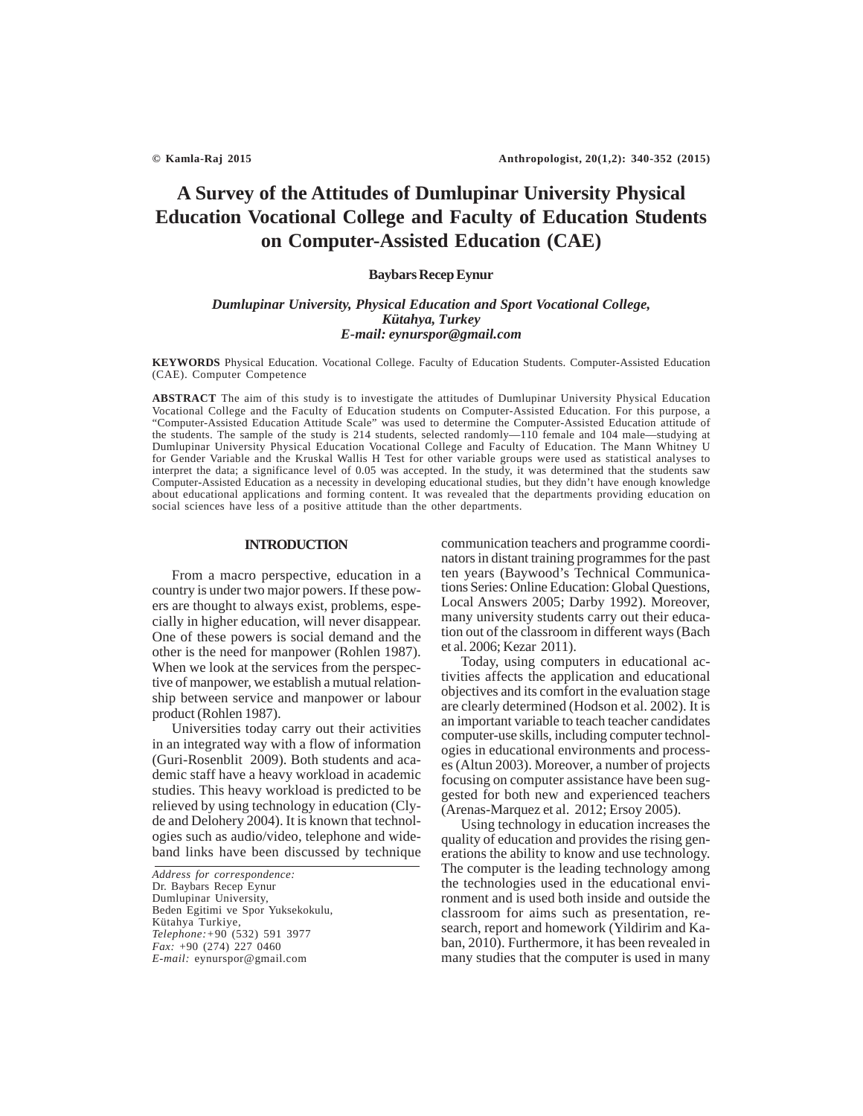# **A Survey of the Attitudes of Dumlupinar University Physical Education Vocational College and Faculty of Education Students on Computer-Assisted Education (CAE)**

# **Baybars Recep Eynur**

# *Dumlupinar University, Physical Education and Sport Vocational College, Kütahya, Turkey E-mail: eynurspor@gmail.com*

**KEYWORDS** Physical Education. Vocational College. Faculty of Education Students. Computer-Assisted Education (CAE). Computer Competence

**ABSTRACT** The aim of this study is to investigate the attitudes of Dumlupinar University Physical Education Vocational College and the Faculty of Education students on Computer-Assisted Education. For this purpose, a "Computer-Assisted Education Attitude Scale" was used to determine the Computer-Assisted Education attitude of the students. The sample of the study is 214 students, selected randomly—110 female and 104 male—studying at Dumlupinar University Physical Education Vocational College and Faculty of Education. The Mann Whitney U for Gender Variable and the Kruskal Wallis H Test for other variable groups were used as statistical analyses to interpret the data; a significance level of 0.05 was accepted. In the study, it was determined that the students saw Computer-Assisted Education as a necessity in developing educational studies, but they didn't have enough knowledge about educational applications and forming content. It was revealed that the departments providing education on social sciences have less of a positive attitude than the other departments.

#### **INTRODUCTION**

From a macro perspective, education in a country is under two major powers. If these powers are thought to always exist, problems, especially in higher education, will never disappear. One of these powers is social demand and the other is the need for manpower (Rohlen 1987). When we look at the services from the perspective of manpower, we establish a mutual relationship between service and manpower or labour product (Rohlen 1987).

Universities today carry out their activities in an integrated way with a flow of information (Guri-Rosenblit 2009). Both students and academic staff have a heavy workload in academic studies. This heavy workload is predicted to be relieved by using technology in education (Clyde and Delohery 2004). It is known that technologies such as audio/video, telephone and wideband links have been discussed by technique

*Address for correspondence:* Dr. Baybars Recep Eynur Dumlupinar University, Beden Egitimi ve Spor Yuksekokulu, Kütahya Turkiye, *Telephone:+*90 (532) 591 3977 *Fax:* +90 (274) 227 0460 *E-mail:* eynurspor@gmail.com

communication teachers and programme coordinators in distant training programmes for the past ten years (Baywood's Technical Communications Series: Online Education: Global Questions, Local Answers 2005; Darby 1992). Moreover, many university students carry out their education out of the classroom in different ways (Bach et al. 2006; Kezar 2011).

Today, using computers in educational activities affects the application and educational objectives and its comfort in the evaluation stage are clearly determined (Hodson et al. 2002). It is an important variable to teach teacher candidates computer-use skills, including computer technologies in educational environments and processes (Altun 2003). Moreover, a number of projects focusing on computer assistance have been suggested for both new and experienced teachers (Arenas-Marquez et al. 2012; Ersoy 2005).

Using technology in education increases the quality of education and provides the rising generations the ability to know and use technology. The computer is the leading technology among the technologies used in the educational environment and is used both inside and outside the classroom for aims such as presentation, research, report and homework (Yildirim and Kaban, 2010). Furthermore, it has been revealed in many studies that the computer is used in many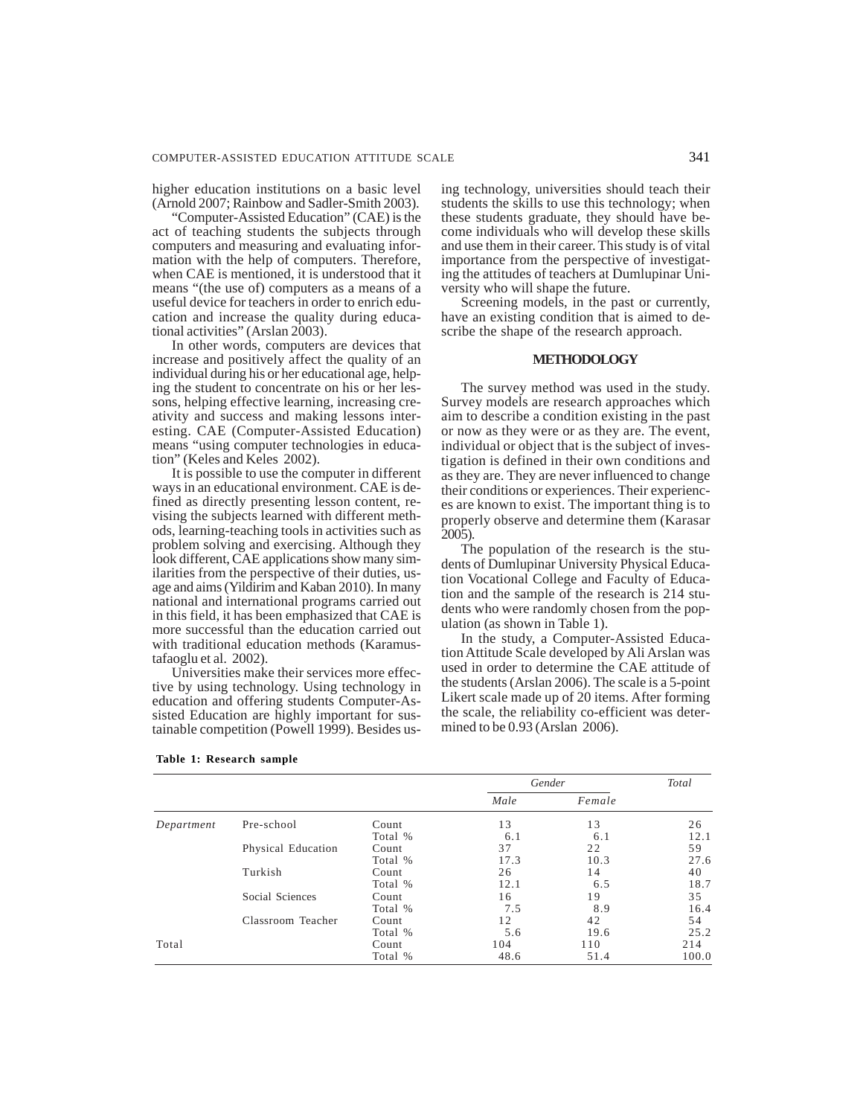higher education institutions on a basic level (Arnold 2007; Rainbow and Sadler-Smith 2003).

"Computer-Assisted Education" (CAE) is the act of teaching students the subjects through computers and measuring and evaluating information with the help of computers. Therefore, when CAE is mentioned, it is understood that it means "(the use of) computers as a means of a useful device for teachers in order to enrich education and increase the quality during educational activities" (Arslan 2003).

In other words, computers are devices that increase and positively affect the quality of an individual during his or her educational age, helping the student to concentrate on his or her lessons, helping effective learning, increasing creativity and success and making lessons interesting. CAE (Computer-Assisted Education) means "using computer technologies in education" (Keles and Keles 2002).

It is possible to use the computer in different ways in an educational environment. CAE is defined as directly presenting lesson content, revising the subjects learned with different methods, learning-teaching tools in activities such as problem solving and exercising. Although they look different, CAE applications show many similarities from the perspective of their duties, usage and aims (Yildirim and Kaban 2010). In many national and international programs carried out in this field, it has been emphasized that CAE is more successful than the education carried out with traditional education methods (Karamustafaoglu et al. 2002).

Universities make their services more effective by using technology. Using technology in education and offering students Computer-Assisted Education are highly important for sustainable competition (Powell 1999). Besides using technology, universities should teach their students the skills to use this technology; when these students graduate, they should have become individuals who will develop these skills and use them in their career. This study is of vital importance from the perspective of investigating the attitudes of teachers at Dumlupinar University who will shape the future.

Screening models, in the past or currently, have an existing condition that is aimed to describe the shape of the research approach.

#### **METHODOLOGY**

The survey method was used in the study. Survey models are research approaches which aim to describe a condition existing in the past or now as they were or as they are. The event, individual or object that is the subject of investigation is defined in their own conditions and as they are. They are never influenced to change their conditions or experiences. Their experiences are known to exist. The important thing is to properly observe and determine them (Karasar 2005).

The population of the research is the students of Dumlupinar University Physical Education Vocational College and Faculty of Education and the sample of the research is 214 students who were randomly chosen from the population (as shown in Table 1).

In the study, a Computer-Assisted Education Attitude Scale developed by Ali Arslan was used in order to determine the CAE attitude of the students (Arslan 2006). The scale is a 5-point Likert scale made up of 20 items. After forming the scale, the reliability co-efficient was determined to be 0.93 (Arslan 2006).

|            |                    |         | Gender |        | Total |
|------------|--------------------|---------|--------|--------|-------|
|            |                    |         | Male   | Female |       |
| Department | Pre-school         | Count   | 13     | 13     | 26    |
|            |                    | Total % | 6.1    | 6.1    | 12.1  |
|            | Physical Education | Count   | 37     | 22     | 59    |
|            |                    | Total % | 17.3   | 10.3   | 27.6  |
|            | Turkish            | Count   | 26     | 14     | 40    |
|            |                    | Total % | 12.1   | 6.5    | 18.7  |
|            | Social Sciences    | Count   | 16     | 19     | 35    |
|            |                    | Total % | 7.5    | 8.9    | 16.4  |
|            | Classroom Teacher  | Count   | 12     | 42     | 54    |
|            |                    | Total % | 5.6    | 19.6   | 25.2  |
| Total      |                    | Count   | 104    | 110    | 214   |
|            |                    | Total % | 48.6   | 51.4   | 100.0 |

**Table 1: Research sample**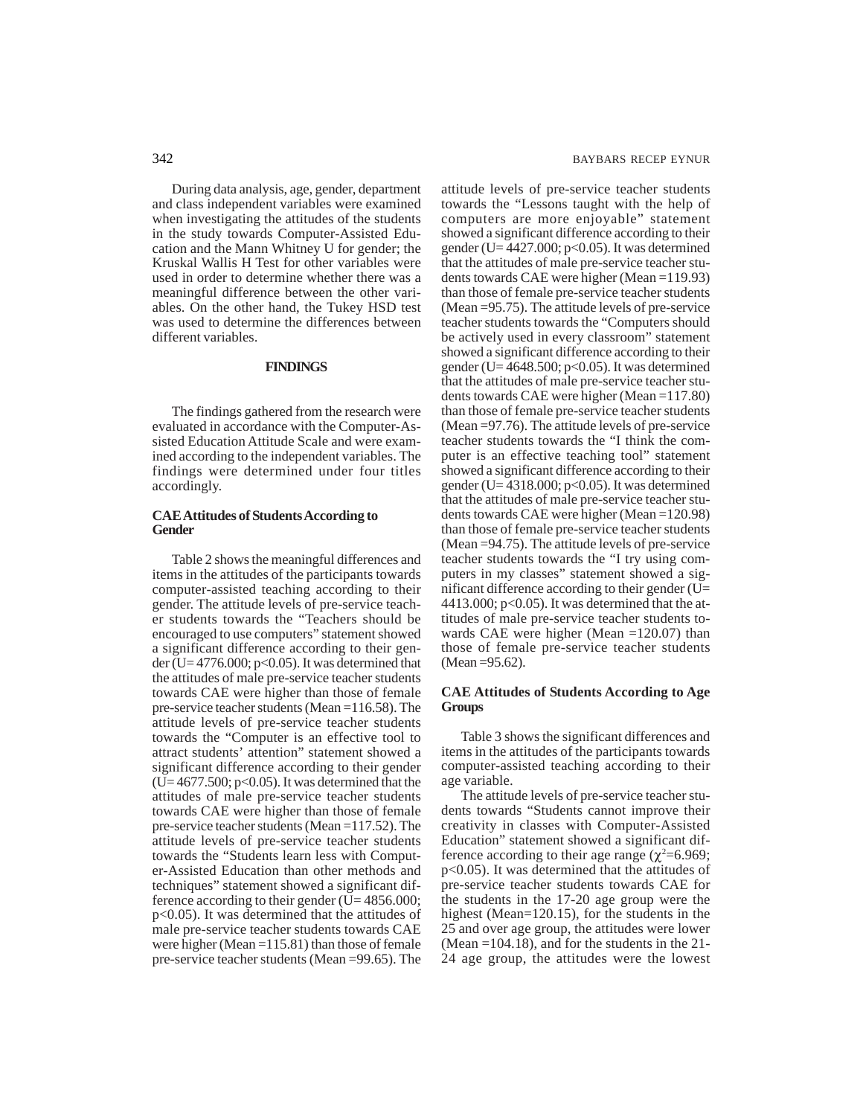During data analysis, age, gender, department and class independent variables were examined when investigating the attitudes of the students in the study towards Computer-Assisted Education and the Mann Whitney U for gender; the Kruskal Wallis H Test for other variables were used in order to determine whether there was a meaningful difference between the other variables. On the other hand, the Tukey HSD test was used to determine the differences between different variables.

## **FINDINGS**

The findings gathered from the research were evaluated in accordance with the Computer-Assisted Education Attitude Scale and were examined according to the independent variables. The findings were determined under four titles accordingly.

#### **CAE Attitudes of Students According to Gender**

Table 2 shows the meaningful differences and items in the attitudes of the participants towards computer-assisted teaching according to their gender. The attitude levels of pre-service teacher students towards the "Teachers should be encouraged to use computers" statement showed a significant difference according to their gender (U= 4776.000; p< $0.05$ ). It was determined that the attitudes of male pre-service teacher students towards CAE were higher than those of female pre-service teacher students (Mean =116.58). The attitude levels of pre-service teacher students towards the "Computer is an effective tool to attract students' attention" statement showed a significant difference according to their gender  $(U=4677.500; p<0.05)$ . It was determined that the attitudes of male pre-service teacher students towards CAE were higher than those of female pre-service teacher students (Mean =117.52). The attitude levels of pre-service teacher students towards the "Students learn less with Computer-Assisted Education than other methods and techniques" statement showed a significant difference according to their gender (U= 4856.000; p<0.05). It was determined that the attitudes of male pre-service teacher students towards CAE were higher (Mean =115.81) than those of female pre-service teacher students (Mean =99.65). The

attitude levels of pre-service teacher students towards the "Lessons taught with the help of computers are more enjoyable" statement showed a significant difference according to their gender (U= $4427.000$ ; p<0.05). It was determined that the attitudes of male pre-service teacher students towards CAE were higher (Mean =119.93) than those of female pre-service teacher students (Mean =95.75). The attitude levels of pre-service teacher students towards the "Computers should be actively used in every classroom" statement showed a significant difference according to their gender (U= $4648.500$ ; p<0.05). It was determined that the attitudes of male pre-service teacher students towards CAE were higher (Mean =117.80) than those of female pre-service teacher students (Mean =97.76). The attitude levels of pre-service teacher students towards the "I think the computer is an effective teaching tool" statement showed a significant difference according to their gender (U= $4318.000$ ; p<0.05). It was determined that the attitudes of male pre-service teacher students towards CAE were higher (Mean =120.98) than those of female pre-service teacher students (Mean =94.75). The attitude levels of pre-service teacher students towards the "I try using computers in my classes" statement showed a significant difference according to their gender  $(U=$ 4413.000; p<0.05). It was determined that the attitudes of male pre-service teacher students towards CAE were higher (Mean =120.07) than those of female pre-service teacher students (Mean =95.62).

## **CAE Attitudes of Students According to Age Groups**

Table 3 shows the significant differences and items in the attitudes of the participants towards computer-assisted teaching according to their age variable.

The attitude levels of pre-service teacher students towards "Students cannot improve their creativity in classes with Computer-Assisted Education" statement showed a significant difference according to their age range ( $χ²=6.969$ ; p<0.05). It was determined that the attitudes of pre-service teacher students towards CAE for the students in the 17-20 age group were the highest (Mean=120.15), for the students in the 25 and over age group, the attitudes were lower (Mean =104.18), and for the students in the 21-24 age group, the attitudes were the lowest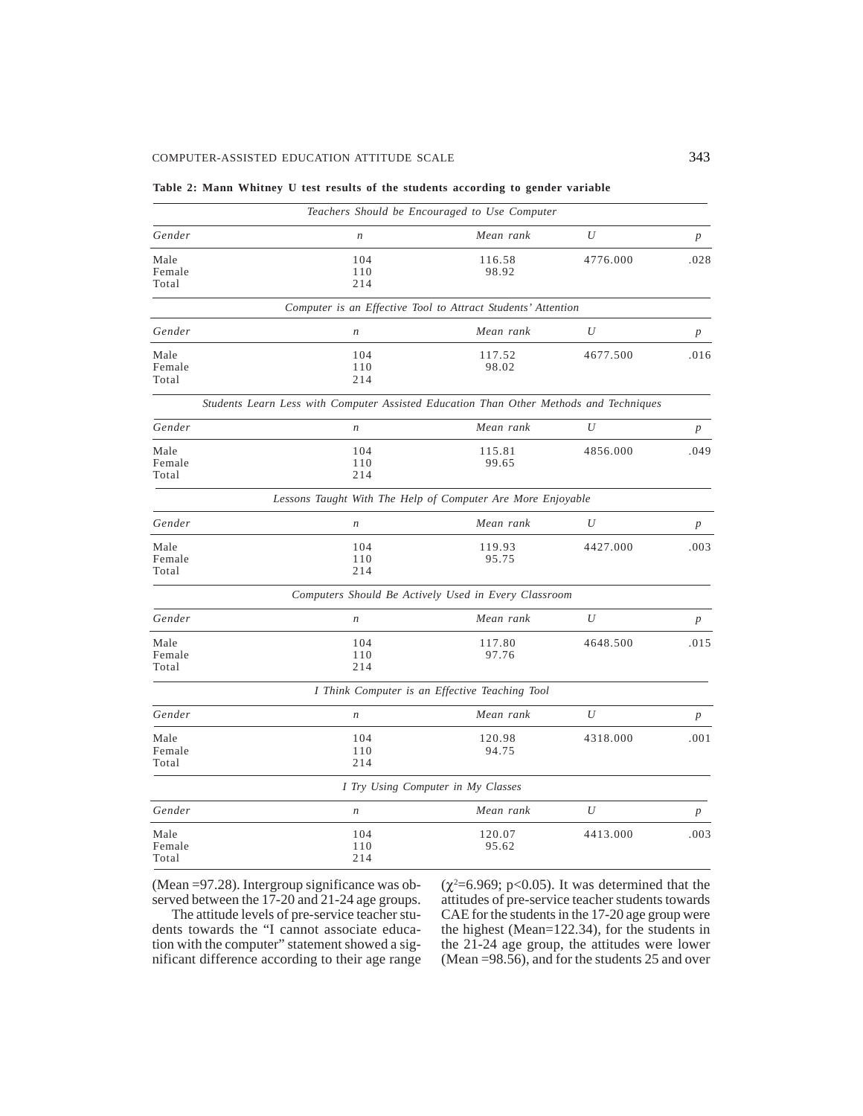#### **Table 2: Mann Whitney U test results of the students according to gender variable**

|        |                                                                                        | Teachers Should be Encouraged to Use Computer        |                  |                  |
|--------|----------------------------------------------------------------------------------------|------------------------------------------------------|------------------|------------------|
| Gender | $\boldsymbol{n}$                                                                       | Mean rank                                            | U                | $\boldsymbol{p}$ |
| Male   | 104                                                                                    | 116.58                                               | 4776.000         | .028             |
| Female | 110                                                                                    | 98.92                                                |                  |                  |
| Total  | 214                                                                                    |                                                      |                  |                  |
|        | Computer is an Effective Tool to Attract Students' Attention                           |                                                      |                  |                  |
| Gender | $\boldsymbol{n}$                                                                       | Mean rank                                            | U                | $\boldsymbol{p}$ |
| Male   | 104                                                                                    | 117.52                                               | 4677.500         | .016             |
| Female | 110                                                                                    | 98.02                                                |                  |                  |
| Total  | 214                                                                                    |                                                      |                  |                  |
|        | Students Learn Less with Computer Assisted Education Than Other Methods and Techniques |                                                      |                  |                  |
| Gender | $\boldsymbol{n}$                                                                       | Mean rank                                            | U                | $\boldsymbol{p}$ |
| Male   | 104                                                                                    | 115.81                                               | 4856.000         | .049             |
| Female | 110                                                                                    | 99.65                                                |                  |                  |
| Total  | 214                                                                                    |                                                      |                  |                  |
|        | Lessons Taught With The Help of Computer Are More Enjoyable                            |                                                      |                  |                  |
| Gender | $\boldsymbol{n}$                                                                       | Mean rank                                            | U                | $\boldsymbol{p}$ |
| Male   | 104                                                                                    | 119.93                                               | 4427.000         | .003             |
| Female | 110                                                                                    | 95.75                                                |                  |                  |
| Total  | 214                                                                                    |                                                      |                  |                  |
|        |                                                                                        | Computers Should Be Actively Used in Every Classroom |                  |                  |
| Gender | $\boldsymbol{n}$                                                                       | Mean rank                                            | U                | $\boldsymbol{p}$ |
| Male   | 104                                                                                    | 117.80                                               | 4648.500         | .015             |
| Female | 110                                                                                    | 97.76                                                |                  |                  |
| Total  | 214                                                                                    |                                                      |                  |                  |
|        |                                                                                        | I Think Computer is an Effective Teaching Tool       |                  |                  |
| Gender | n                                                                                      | Mean rank                                            | U                | $\boldsymbol{p}$ |
| Male   | 104                                                                                    | 120.98                                               | 4318.000         | .001             |
| Female | 110                                                                                    | 94.75                                                |                  |                  |
| Total  | 214                                                                                    |                                                      |                  |                  |
|        |                                                                                        | I Try Using Computer in My Classes                   |                  |                  |
| Gender | $\boldsymbol{n}$                                                                       | Mean rank                                            | $\boldsymbol{U}$ | $\boldsymbol{p}$ |
| Male   | 104                                                                                    | 120.07                                               | 4413.000         | .003             |
| Female | 110                                                                                    | 95.62                                                |                  |                  |
| Total  | 214                                                                                    |                                                      |                  |                  |

(Mean =97.28). Intergroup significance was observed between the 17-20 and 21-24 age groups.

The attitude levels of pre-service teacher students towards the "I cannot associate education with the computer" statement showed a significant difference according to their age range

 $(\chi^2=6.969; p<0.05)$ . It was determined that the attitudes of pre-service teacher students towards CAE for the students in the 17-20 age group were the highest (Mean=122.34), for the students in the 21-24 age group, the attitudes were lower (Mean =98.56), and for the students 25 and over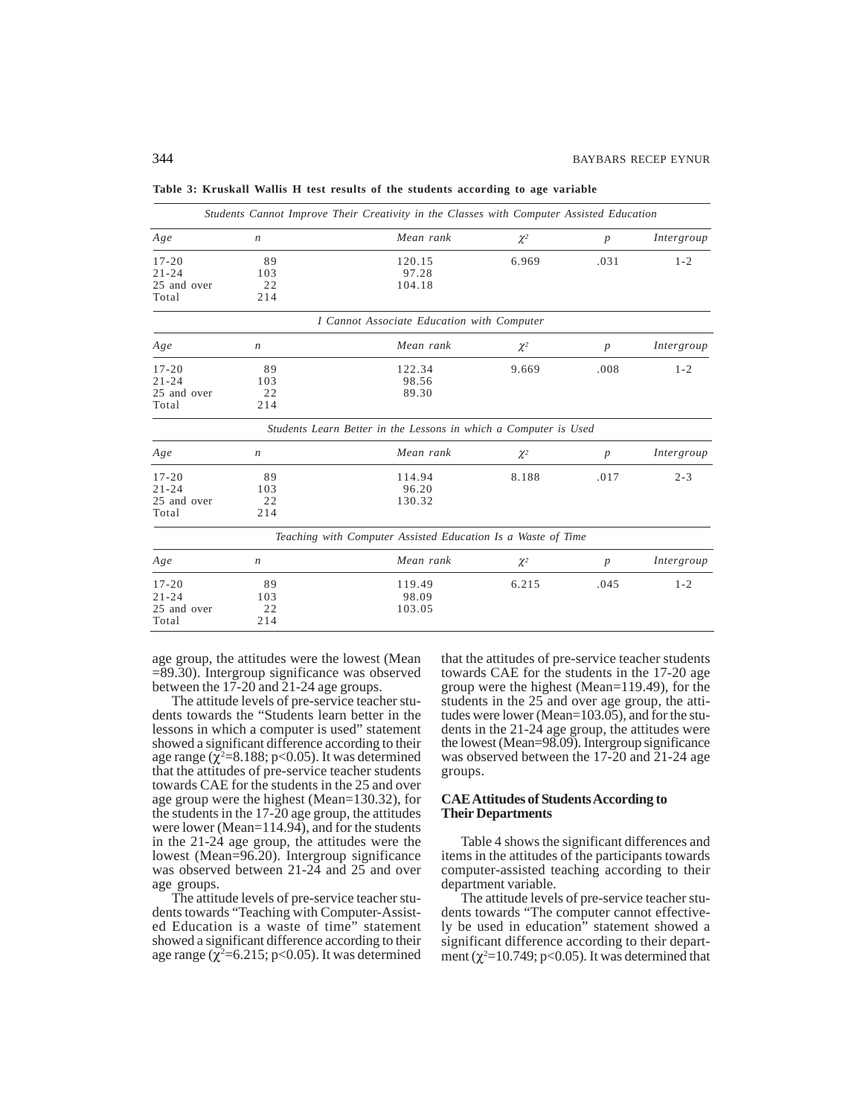|             |                  | Students Cannot Improve Their Creativity in the Classes with Computer Assisted Education |                 |                  |            |
|-------------|------------------|------------------------------------------------------------------------------------------|-----------------|------------------|------------|
| Age         | $\boldsymbol{n}$ | Mean rank                                                                                | $\chi^2$        | $\boldsymbol{p}$ | Intergroup |
| $17 - 20$   | 89               | 120.15                                                                                   | 6.969           | .031             | $1 - 2$    |
| $21 - 24$   | 103              | 97.28                                                                                    |                 |                  |            |
| 25 and over | 22               | 104.18                                                                                   |                 |                  |            |
| Total       | 214              |                                                                                          |                 |                  |            |
|             |                  | I Cannot Associate Education with Computer                                               |                 |                  |            |
| Age         | n                | Mean rank                                                                                | $\mathcal{X}^2$ | $\boldsymbol{p}$ | Intergroup |
| $17 - 20$   | 89               | 122.34                                                                                   | 9.669           | .008             | $1 - 2$    |
| $21 - 24$   | 103              | 98.56                                                                                    |                 |                  |            |
| 25 and over | 22               | 89.30                                                                                    |                 |                  |            |
| Total       | 214              |                                                                                          |                 |                  |            |
|             |                  | Students Learn Better in the Lessons in which a Computer is Used                         |                 |                  |            |
| Age         | $\, n$           | Mean rank                                                                                | $\mathcal{X}^2$ | $\boldsymbol{p}$ | Intergroup |
| $17 - 20$   | 89               | 114.94                                                                                   | 8.188           | .017             | $2 - 3$    |
| $21 - 24$   | 103              | 96.20                                                                                    |                 |                  |            |
| 25 and over | 22               | 130.32                                                                                   |                 |                  |            |
| Total       | 214              |                                                                                          |                 |                  |            |
|             |                  | Teaching with Computer Assisted Education Is a Waste of Time                             |                 |                  |            |
| Age         | n                | Mean rank                                                                                | $\mathcal{X}^2$ | $\boldsymbol{p}$ | Intergroup |
| $17 - 20$   | 89               | 119.49                                                                                   | 6.215           | .045             | $1 - 2$    |
| $21 - 24$   | 103              | 98.09                                                                                    |                 |                  |            |
| 25 and over | 22               | 103.05                                                                                   |                 |                  |            |
| Total       | 214              |                                                                                          |                 |                  |            |

**Table 3: Kruskall Wallis H test results of the students according to age variable**

age group, the attitudes were the lowest (Mean =89.30). Intergroup significance was observed between the 17-20 and 21-24 age groups.

The attitude levels of pre-service teacher students towards the "Students learn better in the lessons in which a computer is used" statement showed a significant difference according to their age range ( $\chi^2$ =8.188; p<0.05). It was determined that the attitudes of pre-service teacher students towards CAE for the students in the 25 and over age group were the highest (Mean=130.32), for the students in the  $17-20$  age group, the attitudes were lower (Mean=114.94), and for the students in the 21-24 age group, the attitudes were the lowest (Mean=96.20). Intergroup significance was observed between 21-24 and 25 and over age groups.

The attitude levels of pre-service teacher students towards "Teaching with Computer-Assisted Education is a waste of time" statement showed a significant difference according to their age range ( $\chi^2$ =6.215; p<0.05). It was determined

that the attitudes of pre-service teacher students towards CAE for the students in the 17-20 age group were the highest (Mean=119.49), for the students in the 25 and over age group, the attitudes were lower (Mean=103.05), and for the students in the 21-24 age group, the attitudes were the lowest (Mean=98.09). Intergroup significance was observed between the 17-20 and 21-24 age groups.

# **CAE Attitudes of Students According to Their Departments**

Table 4 shows the significant differences and items in the attitudes of the participants towards computer-assisted teaching according to their department variable.

The attitude levels of pre-service teacher students towards "The computer cannot effectively be used in education" statement showed a significant difference according to their department ( $\chi^2$ =10.749; p<0.05). It was determined that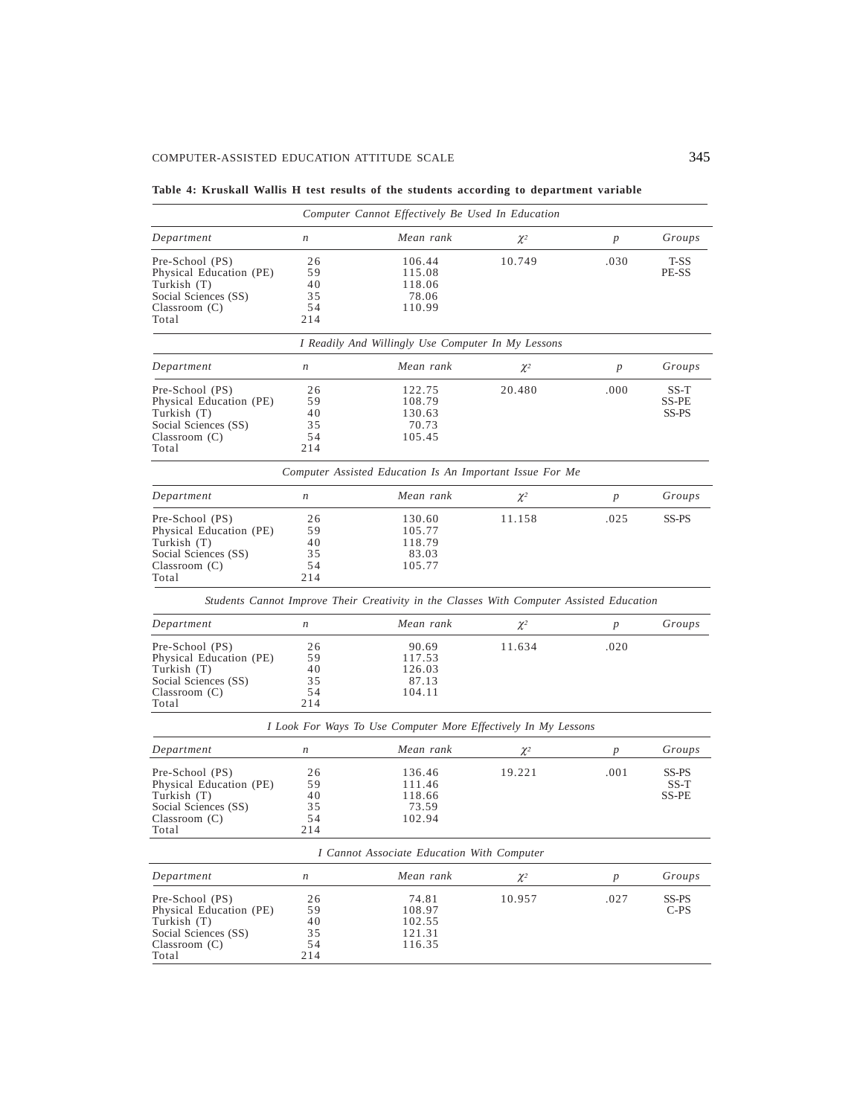# **Table 4: Kruskall Wallis H test results of the students according to department variable**

| Mean rank<br>Department<br>$\,n$<br>$\mathcal{X}^2$<br>$\boldsymbol{p}$<br>26<br>10.749<br>.030<br>Pre-School (PS)<br>106.44<br>59<br>Physical Education (PE)<br>115.08<br>Turkish (T)<br>40<br>118.06<br>Social Sciences (SS)<br>35<br>78.06<br>54<br>Classroom (C)<br>110.99<br>214<br>Total<br>I Readily And Willingly Use Computer In My Lessons<br>Mean rank<br>Department<br>$\boldsymbol{n}$<br>$\chi^2$<br>$\boldsymbol{p}$<br>26<br>.000<br>Pre-School (PS)<br>122.75<br>20.480<br>Physical Education (PE)<br>59<br>108.79<br>Turkish (T)<br>40<br>130.63<br>Social Sciences (SS)<br>35<br>70.73<br>54<br>Classroom (C)<br>105.45 | Groups<br>T-SS<br>PE-SS<br>Groups<br>$SS-T$<br>SS-PE |
|--------------------------------------------------------------------------------------------------------------------------------------------------------------------------------------------------------------------------------------------------------------------------------------------------------------------------------------------------------------------------------------------------------------------------------------------------------------------------------------------------------------------------------------------------------------------------------------------------------------------------------------------|------------------------------------------------------|
|                                                                                                                                                                                                                                                                                                                                                                                                                                                                                                                                                                                                                                            |                                                      |
|                                                                                                                                                                                                                                                                                                                                                                                                                                                                                                                                                                                                                                            |                                                      |
|                                                                                                                                                                                                                                                                                                                                                                                                                                                                                                                                                                                                                                            |                                                      |
|                                                                                                                                                                                                                                                                                                                                                                                                                                                                                                                                                                                                                                            |                                                      |
|                                                                                                                                                                                                                                                                                                                                                                                                                                                                                                                                                                                                                                            |                                                      |
|                                                                                                                                                                                                                                                                                                                                                                                                                                                                                                                                                                                                                                            |                                                      |
|                                                                                                                                                                                                                                                                                                                                                                                                                                                                                                                                                                                                                                            |                                                      |
|                                                                                                                                                                                                                                                                                                                                                                                                                                                                                                                                                                                                                                            |                                                      |
|                                                                                                                                                                                                                                                                                                                                                                                                                                                                                                                                                                                                                                            |                                                      |
|                                                                                                                                                                                                                                                                                                                                                                                                                                                                                                                                                                                                                                            |                                                      |
|                                                                                                                                                                                                                                                                                                                                                                                                                                                                                                                                                                                                                                            |                                                      |
|                                                                                                                                                                                                                                                                                                                                                                                                                                                                                                                                                                                                                                            | SS-PS                                                |
|                                                                                                                                                                                                                                                                                                                                                                                                                                                                                                                                                                                                                                            |                                                      |
|                                                                                                                                                                                                                                                                                                                                                                                                                                                                                                                                                                                                                                            |                                                      |
| 214<br>Total                                                                                                                                                                                                                                                                                                                                                                                                                                                                                                                                                                                                                               |                                                      |
| Computer Assisted Education Is An Important Issue For Me                                                                                                                                                                                                                                                                                                                                                                                                                                                                                                                                                                                   |                                                      |
| Mean rank<br>Department<br>$\boldsymbol{n}$<br>$\chi^2$<br>$\boldsymbol{p}$                                                                                                                                                                                                                                                                                                                                                                                                                                                                                                                                                                | Groups                                               |
| Pre-School (PS)<br>26<br>130.60<br>11.158<br>.025                                                                                                                                                                                                                                                                                                                                                                                                                                                                                                                                                                                          | SS-PS                                                |
| Physical Education (PE)<br>59<br>105.77                                                                                                                                                                                                                                                                                                                                                                                                                                                                                                                                                                                                    |                                                      |
| 40<br>Turkish (T)<br>118.79                                                                                                                                                                                                                                                                                                                                                                                                                                                                                                                                                                                                                |                                                      |
| Social Sciences (SS)<br>35<br>83.03                                                                                                                                                                                                                                                                                                                                                                                                                                                                                                                                                                                                        |                                                      |
| Classroom (C)<br>54<br>105.77                                                                                                                                                                                                                                                                                                                                                                                                                                                                                                                                                                                                              |                                                      |
| 214<br>Total                                                                                                                                                                                                                                                                                                                                                                                                                                                                                                                                                                                                                               |                                                      |
| Students Cannot Improve Their Creativity in the Classes With Computer Assisted Education                                                                                                                                                                                                                                                                                                                                                                                                                                                                                                                                                   |                                                      |
| Mean rank<br>Department<br>$\boldsymbol{n}$<br>$\chi^2$<br>$\boldsymbol{p}$                                                                                                                                                                                                                                                                                                                                                                                                                                                                                                                                                                | Groups                                               |
| 26<br>90.69<br>11.634<br>.020<br>Pre-School (PS)                                                                                                                                                                                                                                                                                                                                                                                                                                                                                                                                                                                           |                                                      |
| Physical Education (PE)<br>59<br>117.53                                                                                                                                                                                                                                                                                                                                                                                                                                                                                                                                                                                                    |                                                      |
| 40<br>Turkish (T)<br>126.03                                                                                                                                                                                                                                                                                                                                                                                                                                                                                                                                                                                                                |                                                      |
| Social Sciences (SS)<br>35<br>87.13                                                                                                                                                                                                                                                                                                                                                                                                                                                                                                                                                                                                        |                                                      |
| 54<br>104.11<br>Classroom (C)                                                                                                                                                                                                                                                                                                                                                                                                                                                                                                                                                                                                              |                                                      |
| 214<br>Total                                                                                                                                                                                                                                                                                                                                                                                                                                                                                                                                                                                                                               |                                                      |
| I Look For Ways To Use Computer More Effectively In My Lessons                                                                                                                                                                                                                                                                                                                                                                                                                                                                                                                                                                             |                                                      |
| Mean rank                                                                                                                                                                                                                                                                                                                                                                                                                                                                                                                                                                                                                                  | Groups                                               |
| Department<br>$\mathcal{X}^2$<br>$\boldsymbol{n}$<br>$\boldsymbol{p}$                                                                                                                                                                                                                                                                                                                                                                                                                                                                                                                                                                      |                                                      |
| 19.221<br>.001<br>Pre-School (PS)<br>26<br>136.46                                                                                                                                                                                                                                                                                                                                                                                                                                                                                                                                                                                          | SS-PS                                                |
| 111.46                                                                                                                                                                                                                                                                                                                                                                                                                                                                                                                                                                                                                                     |                                                      |
| Physical Education (PE)<br>59                                                                                                                                                                                                                                                                                                                                                                                                                                                                                                                                                                                                              | $SS-T$                                               |
| 40<br>Turkish (T)<br>118.66                                                                                                                                                                                                                                                                                                                                                                                                                                                                                                                                                                                                                | SS-PE                                                |
| Social Sciences (SS)<br>35<br>73.59                                                                                                                                                                                                                                                                                                                                                                                                                                                                                                                                                                                                        |                                                      |
| 54<br>102.94<br>Classroom (C)<br>214<br>Total                                                                                                                                                                                                                                                                                                                                                                                                                                                                                                                                                                                              |                                                      |
| I Cannot Associate Education With Computer                                                                                                                                                                                                                                                                                                                                                                                                                                                                                                                                                                                                 |                                                      |
| Mean rank<br>Department<br>$\chi^2$<br>$\boldsymbol{n}$<br>$\boldsymbol{p}$                                                                                                                                                                                                                                                                                                                                                                                                                                                                                                                                                                | Groups                                               |
|                                                                                                                                                                                                                                                                                                                                                                                                                                                                                                                                                                                                                                            |                                                      |
| 26<br>74.81<br>10.957<br>.027<br>Pre-School (PS)                                                                                                                                                                                                                                                                                                                                                                                                                                                                                                                                                                                           | SS-PS                                                |
| Physical Education (PE)<br>59<br>108.97                                                                                                                                                                                                                                                                                                                                                                                                                                                                                                                                                                                                    | C-PS                                                 |
| 40<br>102.55<br>Turkish (T)                                                                                                                                                                                                                                                                                                                                                                                                                                                                                                                                                                                                                |                                                      |
| Social Sciences (SS)<br>35<br>121.31<br>54<br>Classroom (C)<br>116.35                                                                                                                                                                                                                                                                                                                                                                                                                                                                                                                                                                      |                                                      |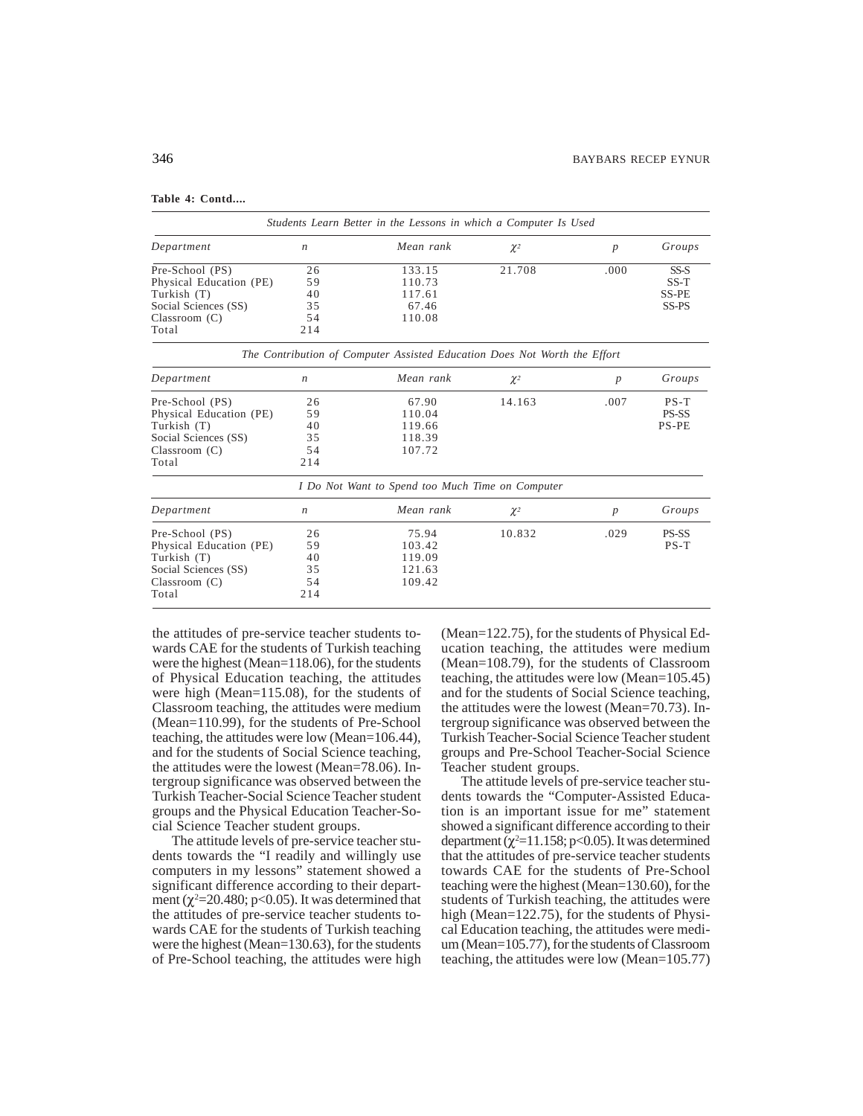| Table 4: Contd |
|----------------|
|----------------|

|                         |                  | Students Learn Better in the Lessons in which a Computer Is Used          |          |                  |        |
|-------------------------|------------------|---------------------------------------------------------------------------|----------|------------------|--------|
| Department              | $\boldsymbol{n}$ | Mean rank                                                                 | $\chi^2$ | $\boldsymbol{p}$ | Groups |
| Pre-School (PS)         | 26               | 133.15                                                                    | 21.708   | .000             | $SS-S$ |
| Physical Education (PE) | 59               | 110.73                                                                    |          |                  | $SS-T$ |
| Turkish (T)             | 40               | 117.61                                                                    |          |                  | SS-PE  |
| Social Sciences (SS)    | 35               | 67.46                                                                     |          |                  | SS-PS  |
| Classroom(C)            | 54               | 110.08                                                                    |          |                  |        |
| Total                   | 214              |                                                                           |          |                  |        |
|                         |                  | The Contribution of Computer Assisted Education Does Not Worth the Effort |          |                  |        |
| Department              | $\boldsymbol{n}$ | Mean rank                                                                 | $\chi^2$ | $\boldsymbol{p}$ | Groups |
| Pre-School (PS)         | 26               | 67.90                                                                     | 14.163   | .007             | $PS-T$ |
| Physical Education (PE) | 59               | 110.04                                                                    |          |                  | PS-SS  |
| Turkish (T)             | 40               | 119.66                                                                    |          |                  | PS-PE  |
| Social Sciences (SS)    | 35               | 118.39                                                                    |          |                  |        |
| Classroom(C)            | 54               | 107.72                                                                    |          |                  |        |
| Total                   | 214              |                                                                           |          |                  |        |
|                         |                  | I Do Not Want to Spend too Much Time on Computer                          |          |                  |        |
| Department              | $\boldsymbol{n}$ | Mean rank                                                                 | $\chi^2$ | $\boldsymbol{p}$ | Groups |
| Pre-School (PS)         | 26               | 75.94                                                                     | 10.832   | .029             | PS-SS  |
| Physical Education (PE) | 59               | 103.42                                                                    |          |                  | $PS-T$ |
| Turkish (T)             | 40               | 119.09                                                                    |          |                  |        |
| Social Sciences (SS)    | 35               | 121.63                                                                    |          |                  |        |
| Classroom(C)            | 54               | 109.42                                                                    |          |                  |        |
| Total                   | 214              |                                                                           |          |                  |        |

the attitudes of pre-service teacher students towards CAE for the students of Turkish teaching were the highest (Mean=118.06), for the students of Physical Education teaching, the attitudes were high (Mean=115.08), for the students of Classroom teaching, the attitudes were medium (Mean=110.99), for the students of Pre-School teaching, the attitudes were low (Mean=106.44), and for the students of Social Science teaching, the attitudes were the lowest (Mean=78.06). Intergroup significance was observed between the Turkish Teacher-Social Science Teacher student groups and the Physical Education Teacher-Social Science Teacher student groups.

The attitude levels of pre-service teacher students towards the "I readily and willingly use computers in my lessons" statement showed a significant difference according to their department ( $\chi^2$ =20.480; p<0.05). It was determined that the attitudes of pre-service teacher students towards CAE for the students of Turkish teaching were the highest (Mean=130.63), for the students of Pre-School teaching, the attitudes were high (Mean=122.75), for the students of Physical Education teaching, the attitudes were medium (Mean=108.79), for the students of Classroom teaching, the attitudes were low (Mean=105.45) and for the students of Social Science teaching, the attitudes were the lowest (Mean=70.73). Intergroup significance was observed between the Turkish Teacher-Social Science Teacher student groups and Pre-School Teacher-Social Science Teacher student groups.

The attitude levels of pre-service teacher students towards the "Computer-Assisted Education is an important issue for me" statement showed a significant difference according to their department  $(\chi^2=11.158; p<0.05)$ . It was determined that the attitudes of pre-service teacher students towards CAE for the students of Pre-School teaching were the highest (Mean=130.60), for the students of Turkish teaching, the attitudes were high (Mean=122.75), for the students of Physical Education teaching, the attitudes were medium (Mean=105.77), for the students of Classroom teaching, the attitudes were low (Mean=105.77)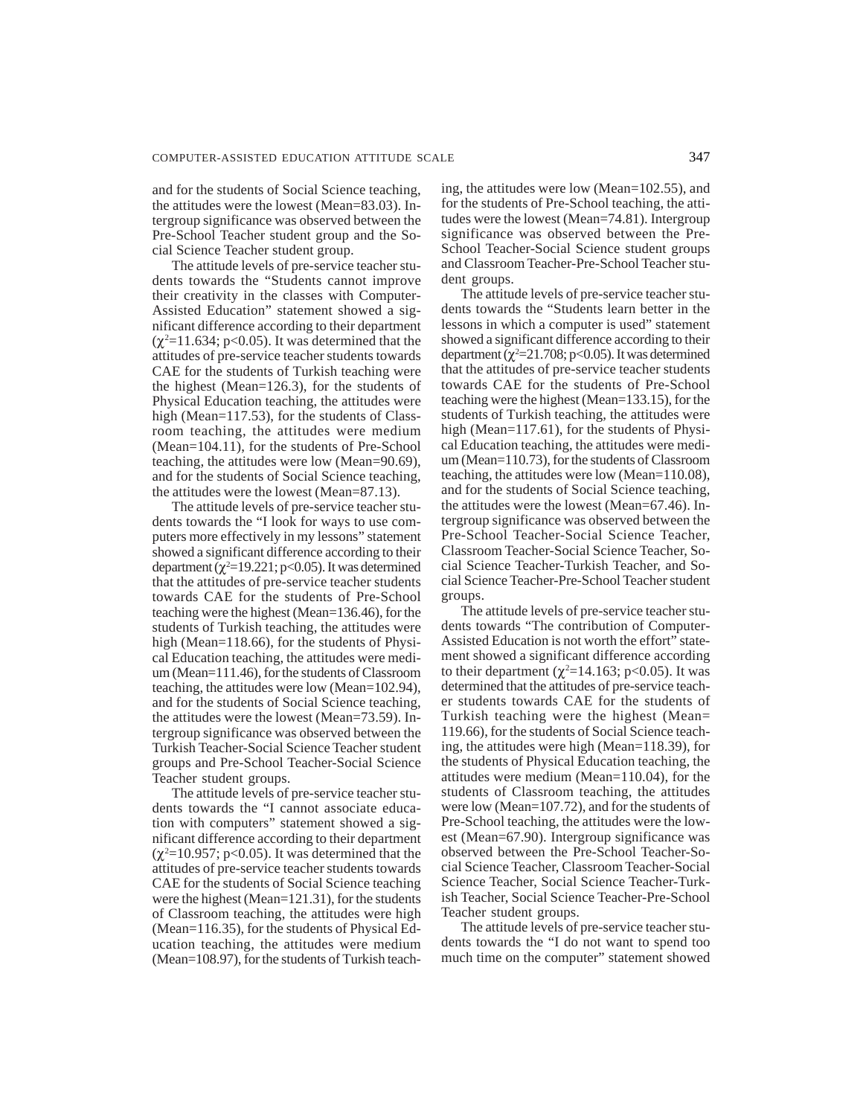and for the students of Social Science teaching, the attitudes were the lowest (Mean=83.03). Intergroup significance was observed between the Pre-School Teacher student group and the Social Science Teacher student group.

The attitude levels of pre-service teacher students towards the "Students cannot improve their creativity in the classes with Computer-Assisted Education" statement showed a significant difference according to their department  $(\chi^2=11.634; p<0.05)$ . It was determined that the attitudes of pre-service teacher students towards CAE for the students of Turkish teaching were the highest (Mean=126.3), for the students of Physical Education teaching, the attitudes were high (Mean=117.53), for the students of Classroom teaching, the attitudes were medium (Mean=104.11), for the students of Pre-School teaching, the attitudes were low (Mean=90.69), and for the students of Social Science teaching, the attitudes were the lowest (Mean=87.13).

The attitude levels of pre-service teacher students towards the "I look for ways to use computers more effectively in my lessons" statement showed a significant difference according to their department  $(\chi^2=19.221; p<0.05)$ . It was determined that the attitudes of pre-service teacher students towards CAE for the students of Pre-School teaching were the highest (Mean=136.46), for the students of Turkish teaching, the attitudes were high (Mean=118.66), for the students of Physical Education teaching, the attitudes were medium (Mean=111.46), for the students of Classroom teaching, the attitudes were low (Mean=102.94), and for the students of Social Science teaching, the attitudes were the lowest (Mean=73.59). Intergroup significance was observed between the Turkish Teacher-Social Science Teacher student groups and Pre-School Teacher-Social Science Teacher student groups.

The attitude levels of pre-service teacher students towards the "I cannot associate education with computers" statement showed a significant difference according to their department  $(\chi^2=10.957; p<0.05)$ . It was determined that the attitudes of pre-service teacher students towards CAE for the students of Social Science teaching were the highest (Mean=121.31), for the students of Classroom teaching, the attitudes were high (Mean=116.35), for the students of Physical Education teaching, the attitudes were medium (Mean=108.97), for the students of Turkish teaching, the attitudes were low (Mean=102.55), and for the students of Pre-School teaching, the attitudes were the lowest (Mean=74.81). Intergroup significance was observed between the Pre-School Teacher-Social Science student groups and Classroom Teacher-Pre-School Teacher student groups.

The attitude levels of pre-service teacher students towards the "Students learn better in the lessons in which a computer is used" statement showed a significant difference according to their department  $(\chi^2=21.708; p<0.05)$ . It was determined that the attitudes of pre-service teacher students towards CAE for the students of Pre-School teaching were the highest (Mean=133.15), for the students of Turkish teaching, the attitudes were high (Mean=117.61), for the students of Physical Education teaching, the attitudes were medium (Mean=110.73), for the students of Classroom teaching, the attitudes were low (Mean=110.08), and for the students of Social Science teaching, the attitudes were the lowest (Mean=67.46). Intergroup significance was observed between the Pre-School Teacher-Social Science Teacher, Classroom Teacher-Social Science Teacher, Social Science Teacher-Turkish Teacher, and Social Science Teacher-Pre-School Teacher student groups.

The attitude levels of pre-service teacher students towards "The contribution of Computer-Assisted Education is not worth the effort" statement showed a significant difference according to their department ( $\chi^2$ =14.163; p<0.05). It was determined that the attitudes of pre-service teacher students towards CAE for the students of Turkish teaching were the highest (Mean= 119.66), for the students of Social Science teaching, the attitudes were high (Mean=118.39), for the students of Physical Education teaching, the attitudes were medium (Mean=110.04), for the students of Classroom teaching, the attitudes were low (Mean=107.72), and for the students of Pre-School teaching, the attitudes were the lowest (Mean=67.90). Intergroup significance was observed between the Pre-School Teacher-Social Science Teacher, Classroom Teacher-Social Science Teacher, Social Science Teacher-Turkish Teacher, Social Science Teacher-Pre-School Teacher student groups.

The attitude levels of pre-service teacher students towards the "I do not want to spend too much time on the computer" statement showed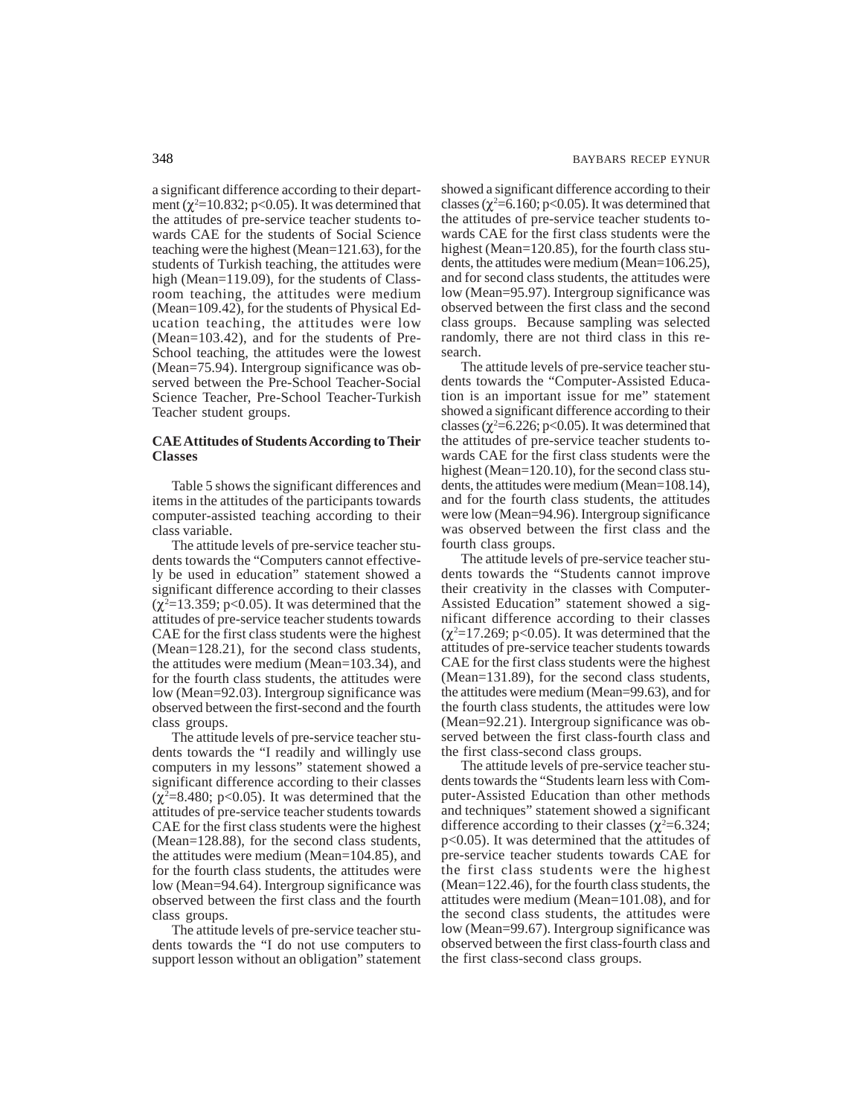a significant difference according to their department ( $\chi^2$ =10.832; p<0.05). It was determined that the attitudes of pre-service teacher students towards CAE for the students of Social Science teaching were the highest (Mean=121.63), for the students of Turkish teaching, the attitudes were high (Mean=119.09), for the students of Classroom teaching, the attitudes were medium (Mean=109.42), for the students of Physical Education teaching, the attitudes were low (Mean=103.42), and for the students of Pre-School teaching, the attitudes were the lowest (Mean=75.94). Intergroup significance was observed between the Pre-School Teacher-Social Science Teacher, Pre-School Teacher-Turkish Teacher student groups.

### **CAE Attitudes of Students According to Their Classes**

Table 5 shows the significant differences and items in the attitudes of the participants towards computer-assisted teaching according to their class variable.

The attitude levels of pre-service teacher students towards the "Computers cannot effectively be used in education" statement showed a significant difference according to their classes  $(\chi^2=13.359; p<0.05)$ . It was determined that the attitudes of pre-service teacher students towards CAE for the first class students were the highest (Mean=128.21), for the second class students, the attitudes were medium (Mean=103.34), and for the fourth class students, the attitudes were low (Mean=92.03). Intergroup significance was observed between the first-second and the fourth class groups.

The attitude levels of pre-service teacher students towards the "I readily and willingly use computers in my lessons" statement showed a significant difference according to their classes  $(\chi^2 = 8.480; \text{ p} < 0.05)$ . It was determined that the attitudes of pre-service teacher students towards CAE for the first class students were the highest (Mean=128.88), for the second class students, the attitudes were medium (Mean=104.85), and for the fourth class students, the attitudes were low (Mean=94.64). Intergroup significance was observed between the first class and the fourth class groups.

The attitude levels of pre-service teacher students towards the "I do not use computers to support lesson without an obligation" statement showed a significant difference according to their classes ( $\chi^2$ =6.160; p<0.05). It was determined that the attitudes of pre-service teacher students towards CAE for the first class students were the highest (Mean=120.85), for the fourth class students, the attitudes were medium (Mean=106.25), and for second class students, the attitudes were low (Mean=95.97). Intergroup significance was observed between the first class and the second class groups. Because sampling was selected randomly, there are not third class in this research.

The attitude levels of pre-service teacher students towards the "Computer-Assisted Education is an important issue for me" statement showed a significant difference according to their classes ( $\chi^2$ =6.226; p<0.05). It was determined that the attitudes of pre-service teacher students towards CAE for the first class students were the highest (Mean=120.10), for the second class students, the attitudes were medium (Mean=108.14), and for the fourth class students, the attitudes were low (Mean=94.96). Intergroup significance was observed between the first class and the fourth class groups.

The attitude levels of pre-service teacher students towards the "Students cannot improve their creativity in the classes with Computer-Assisted Education" statement showed a significant difference according to their classes  $(\chi^2=17.269; p<0.05)$ . It was determined that the attitudes of pre-service teacher students towards CAE for the first class students were the highest (Mean=131.89), for the second class students, the attitudes were medium (Mean=99.63), and for the fourth class students, the attitudes were low (Mean=92.21). Intergroup significance was observed between the first class-fourth class and the first class-second class groups.

The attitude levels of pre-service teacher students towards the "Students learn less with Computer-Assisted Education than other methods and techniques" statement showed a significant difference according to their classes ( $\chi^2$ =6.324; p<0.05). It was determined that the attitudes of pre-service teacher students towards CAE for the first class students were the highest (Mean=122.46), for the fourth class students, the attitudes were medium (Mean=101.08), and for the second class students, the attitudes were low (Mean=99.67). Intergroup significance was observed between the first class-fourth class and the first class-second class groups.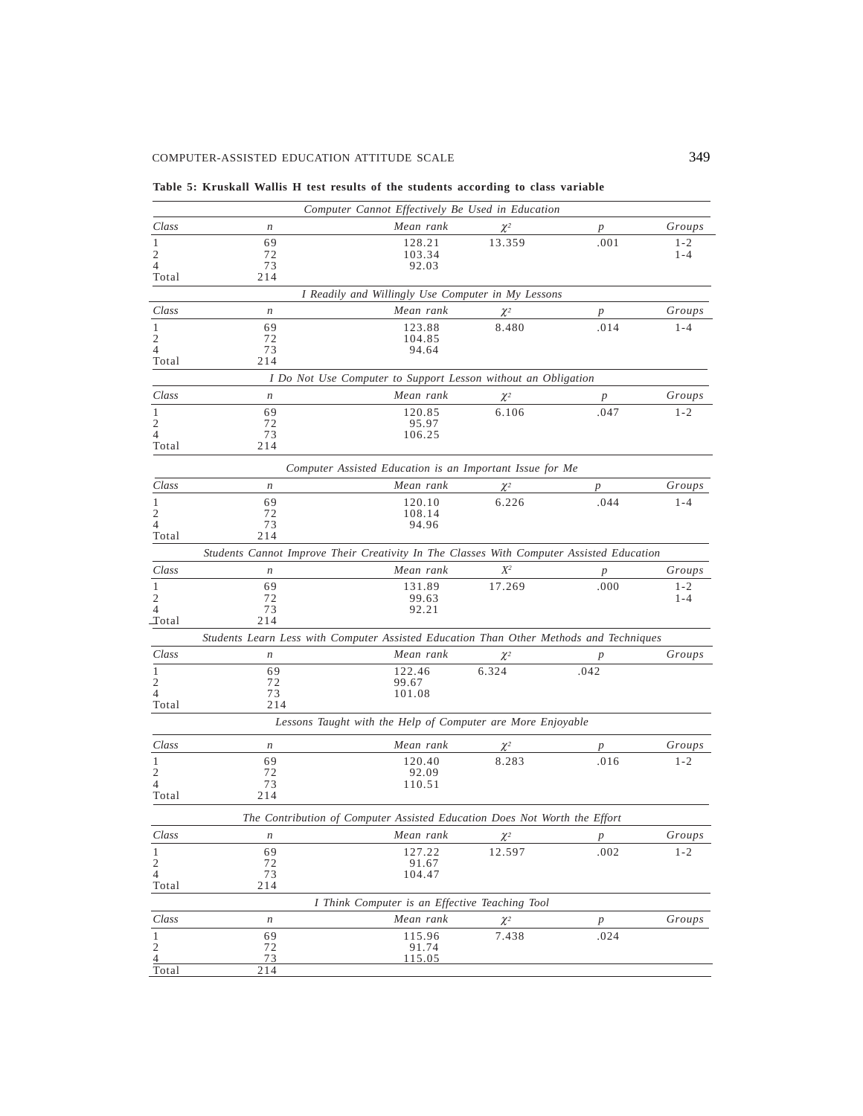**Table 5: Kruskall Wallis H test results of the students according to class variable**

| Class<br>Mean rank<br>Groups<br>$\boldsymbol{n}$<br>$\chi^2$<br>$\boldsymbol{p}$<br>69<br>13.359<br>.001<br>1<br>128.21<br>$1 - 2$<br>2<br>72<br>103.34<br>$1 - 4$<br>$\overline{4}$<br>73<br>92.03<br>214<br>Total<br>I Readily and Willingly Use Computer in My Lessons<br>Class<br>Mean rank<br>$\boldsymbol{n}$<br>Groups<br>$\chi^2$<br>$\boldsymbol{p}$<br>69<br>8.480<br>.014<br>1<br>123.88<br>$1 - 4$<br>2<br>72<br>104.85<br>73<br>4<br>94.64<br>214<br>Total<br>I Do Not Use Computer to Support Lesson without an Obligation<br>Class<br>Mean rank<br>Groups<br>$\boldsymbol{n}$<br>$\chi^{}_2$<br>$\boldsymbol{p}$<br>6.106<br>.047<br>1<br>69<br>120.85<br>$1 - 2$<br>2<br>72<br>95.97<br>73<br>4<br>106.25<br>214<br>Total<br>Computer Assisted Education is an Important Issue for Me<br>Mean rank<br>Class<br>$\chi^{}_2$<br>Groups<br>$\,n$<br>$\boldsymbol{p}$<br>69<br>6.226<br>.044<br>$\mathbf{1}$<br>120.10<br>$1 - 4$<br>2<br>72<br>108.14<br>94.96<br>4<br>73<br>Total<br>214<br>Students Cannot Improve Their Creativity In The Classes With Computer Assisted Education<br>$X^2$<br>Mean rank<br>Class<br>Groups<br>$\boldsymbol{n}$<br>p<br>$\mathbf{1}$<br>69<br>131.89<br>17.269<br>.000<br>$1 - 2$<br>2<br>72<br>99.63<br>$1 - 4$<br>92.21<br>4<br>73<br>214<br>Total<br>Students Learn Less with Computer Assisted Education Than Other Methods and Techniques<br>Mean rank<br>Class<br>Groups<br>$\chi^{}_2$<br>n<br>p<br>122.46<br>$\mathbf{1}$<br>69<br>6.324<br>.042<br>2<br>72<br>99.67<br>4<br>73<br>101.08<br>214<br>Total<br>Lessons Taught with the Help of Computer are More Enjoyable<br>Class<br>Mean rank<br>Groups<br>$\boldsymbol{n}$<br>$\mathcal{X}^2$<br>$\boldsymbol{p}$<br>8.283<br>.016<br>69<br>120.40<br>$1 - 2$<br>1<br>2<br>72<br>92.09<br>4<br>73<br>110.51<br>214<br>Total<br>The Contribution of Computer Assisted Education Does Not Worth the Effort<br>Class<br>Mean rank<br>Groups<br>$\mathcal{X}^2$<br>$\mathfrak{n}$<br>$\mathbf{1}$<br>69<br>127.22<br>12.597<br>.002<br>$1 - 2$<br>$\sqrt{2}$<br>72<br>91.67<br>73<br>$\overline{4}$<br>104.47<br>214<br>Total<br>I Think Computer is an Effective Teaching Tool<br>Class<br>Mean rank<br>Groups<br>$\boldsymbol{n}$<br>$\mathcal{X}^2$<br>p<br>69<br>7.438<br>.024<br>$\mathbf{1}$<br>115.96<br>$\mathfrak{2}$<br>91.74<br>72<br>115.05<br>73<br>Total<br>214 |  | Computer Cannot Effectively Be Used in Education |  |  |
|-------------------------------------------------------------------------------------------------------------------------------------------------------------------------------------------------------------------------------------------------------------------------------------------------------------------------------------------------------------------------------------------------------------------------------------------------------------------------------------------------------------------------------------------------------------------------------------------------------------------------------------------------------------------------------------------------------------------------------------------------------------------------------------------------------------------------------------------------------------------------------------------------------------------------------------------------------------------------------------------------------------------------------------------------------------------------------------------------------------------------------------------------------------------------------------------------------------------------------------------------------------------------------------------------------------------------------------------------------------------------------------------------------------------------------------------------------------------------------------------------------------------------------------------------------------------------------------------------------------------------------------------------------------------------------------------------------------------------------------------------------------------------------------------------------------------------------------------------------------------------------------------------------------------------------------------------------------------------------------------------------------------------------------------------------------------------------------------------------------------------------------------------------------------------------------------------------------------------------------------------------------------------------------------------------------------------------------------------------------------------------------|--|--------------------------------------------------|--|--|
|                                                                                                                                                                                                                                                                                                                                                                                                                                                                                                                                                                                                                                                                                                                                                                                                                                                                                                                                                                                                                                                                                                                                                                                                                                                                                                                                                                                                                                                                                                                                                                                                                                                                                                                                                                                                                                                                                                                                                                                                                                                                                                                                                                                                                                                                                                                                                                                     |  |                                                  |  |  |
|                                                                                                                                                                                                                                                                                                                                                                                                                                                                                                                                                                                                                                                                                                                                                                                                                                                                                                                                                                                                                                                                                                                                                                                                                                                                                                                                                                                                                                                                                                                                                                                                                                                                                                                                                                                                                                                                                                                                                                                                                                                                                                                                                                                                                                                                                                                                                                                     |  |                                                  |  |  |
|                                                                                                                                                                                                                                                                                                                                                                                                                                                                                                                                                                                                                                                                                                                                                                                                                                                                                                                                                                                                                                                                                                                                                                                                                                                                                                                                                                                                                                                                                                                                                                                                                                                                                                                                                                                                                                                                                                                                                                                                                                                                                                                                                                                                                                                                                                                                                                                     |  |                                                  |  |  |
|                                                                                                                                                                                                                                                                                                                                                                                                                                                                                                                                                                                                                                                                                                                                                                                                                                                                                                                                                                                                                                                                                                                                                                                                                                                                                                                                                                                                                                                                                                                                                                                                                                                                                                                                                                                                                                                                                                                                                                                                                                                                                                                                                                                                                                                                                                                                                                                     |  |                                                  |  |  |
|                                                                                                                                                                                                                                                                                                                                                                                                                                                                                                                                                                                                                                                                                                                                                                                                                                                                                                                                                                                                                                                                                                                                                                                                                                                                                                                                                                                                                                                                                                                                                                                                                                                                                                                                                                                                                                                                                                                                                                                                                                                                                                                                                                                                                                                                                                                                                                                     |  |                                                  |  |  |
|                                                                                                                                                                                                                                                                                                                                                                                                                                                                                                                                                                                                                                                                                                                                                                                                                                                                                                                                                                                                                                                                                                                                                                                                                                                                                                                                                                                                                                                                                                                                                                                                                                                                                                                                                                                                                                                                                                                                                                                                                                                                                                                                                                                                                                                                                                                                                                                     |  |                                                  |  |  |
|                                                                                                                                                                                                                                                                                                                                                                                                                                                                                                                                                                                                                                                                                                                                                                                                                                                                                                                                                                                                                                                                                                                                                                                                                                                                                                                                                                                                                                                                                                                                                                                                                                                                                                                                                                                                                                                                                                                                                                                                                                                                                                                                                                                                                                                                                                                                                                                     |  |                                                  |  |  |
|                                                                                                                                                                                                                                                                                                                                                                                                                                                                                                                                                                                                                                                                                                                                                                                                                                                                                                                                                                                                                                                                                                                                                                                                                                                                                                                                                                                                                                                                                                                                                                                                                                                                                                                                                                                                                                                                                                                                                                                                                                                                                                                                                                                                                                                                                                                                                                                     |  |                                                  |  |  |
|                                                                                                                                                                                                                                                                                                                                                                                                                                                                                                                                                                                                                                                                                                                                                                                                                                                                                                                                                                                                                                                                                                                                                                                                                                                                                                                                                                                                                                                                                                                                                                                                                                                                                                                                                                                                                                                                                                                                                                                                                                                                                                                                                                                                                                                                                                                                                                                     |  |                                                  |  |  |
|                                                                                                                                                                                                                                                                                                                                                                                                                                                                                                                                                                                                                                                                                                                                                                                                                                                                                                                                                                                                                                                                                                                                                                                                                                                                                                                                                                                                                                                                                                                                                                                                                                                                                                                                                                                                                                                                                                                                                                                                                                                                                                                                                                                                                                                                                                                                                                                     |  |                                                  |  |  |
|                                                                                                                                                                                                                                                                                                                                                                                                                                                                                                                                                                                                                                                                                                                                                                                                                                                                                                                                                                                                                                                                                                                                                                                                                                                                                                                                                                                                                                                                                                                                                                                                                                                                                                                                                                                                                                                                                                                                                                                                                                                                                                                                                                                                                                                                                                                                                                                     |  |                                                  |  |  |
|                                                                                                                                                                                                                                                                                                                                                                                                                                                                                                                                                                                                                                                                                                                                                                                                                                                                                                                                                                                                                                                                                                                                                                                                                                                                                                                                                                                                                                                                                                                                                                                                                                                                                                                                                                                                                                                                                                                                                                                                                                                                                                                                                                                                                                                                                                                                                                                     |  |                                                  |  |  |
|                                                                                                                                                                                                                                                                                                                                                                                                                                                                                                                                                                                                                                                                                                                                                                                                                                                                                                                                                                                                                                                                                                                                                                                                                                                                                                                                                                                                                                                                                                                                                                                                                                                                                                                                                                                                                                                                                                                                                                                                                                                                                                                                                                                                                                                                                                                                                                                     |  |                                                  |  |  |
|                                                                                                                                                                                                                                                                                                                                                                                                                                                                                                                                                                                                                                                                                                                                                                                                                                                                                                                                                                                                                                                                                                                                                                                                                                                                                                                                                                                                                                                                                                                                                                                                                                                                                                                                                                                                                                                                                                                                                                                                                                                                                                                                                                                                                                                                                                                                                                                     |  |                                                  |  |  |
|                                                                                                                                                                                                                                                                                                                                                                                                                                                                                                                                                                                                                                                                                                                                                                                                                                                                                                                                                                                                                                                                                                                                                                                                                                                                                                                                                                                                                                                                                                                                                                                                                                                                                                                                                                                                                                                                                                                                                                                                                                                                                                                                                                                                                                                                                                                                                                                     |  |                                                  |  |  |
|                                                                                                                                                                                                                                                                                                                                                                                                                                                                                                                                                                                                                                                                                                                                                                                                                                                                                                                                                                                                                                                                                                                                                                                                                                                                                                                                                                                                                                                                                                                                                                                                                                                                                                                                                                                                                                                                                                                                                                                                                                                                                                                                                                                                                                                                                                                                                                                     |  |                                                  |  |  |
|                                                                                                                                                                                                                                                                                                                                                                                                                                                                                                                                                                                                                                                                                                                                                                                                                                                                                                                                                                                                                                                                                                                                                                                                                                                                                                                                                                                                                                                                                                                                                                                                                                                                                                                                                                                                                                                                                                                                                                                                                                                                                                                                                                                                                                                                                                                                                                                     |  |                                                  |  |  |
|                                                                                                                                                                                                                                                                                                                                                                                                                                                                                                                                                                                                                                                                                                                                                                                                                                                                                                                                                                                                                                                                                                                                                                                                                                                                                                                                                                                                                                                                                                                                                                                                                                                                                                                                                                                                                                                                                                                                                                                                                                                                                                                                                                                                                                                                                                                                                                                     |  |                                                  |  |  |
|                                                                                                                                                                                                                                                                                                                                                                                                                                                                                                                                                                                                                                                                                                                                                                                                                                                                                                                                                                                                                                                                                                                                                                                                                                                                                                                                                                                                                                                                                                                                                                                                                                                                                                                                                                                                                                                                                                                                                                                                                                                                                                                                                                                                                                                                                                                                                                                     |  |                                                  |  |  |
|                                                                                                                                                                                                                                                                                                                                                                                                                                                                                                                                                                                                                                                                                                                                                                                                                                                                                                                                                                                                                                                                                                                                                                                                                                                                                                                                                                                                                                                                                                                                                                                                                                                                                                                                                                                                                                                                                                                                                                                                                                                                                                                                                                                                                                                                                                                                                                                     |  |                                                  |  |  |
|                                                                                                                                                                                                                                                                                                                                                                                                                                                                                                                                                                                                                                                                                                                                                                                                                                                                                                                                                                                                                                                                                                                                                                                                                                                                                                                                                                                                                                                                                                                                                                                                                                                                                                                                                                                                                                                                                                                                                                                                                                                                                                                                                                                                                                                                                                                                                                                     |  |                                                  |  |  |
|                                                                                                                                                                                                                                                                                                                                                                                                                                                                                                                                                                                                                                                                                                                                                                                                                                                                                                                                                                                                                                                                                                                                                                                                                                                                                                                                                                                                                                                                                                                                                                                                                                                                                                                                                                                                                                                                                                                                                                                                                                                                                                                                                                                                                                                                                                                                                                                     |  |                                                  |  |  |
|                                                                                                                                                                                                                                                                                                                                                                                                                                                                                                                                                                                                                                                                                                                                                                                                                                                                                                                                                                                                                                                                                                                                                                                                                                                                                                                                                                                                                                                                                                                                                                                                                                                                                                                                                                                                                                                                                                                                                                                                                                                                                                                                                                                                                                                                                                                                                                                     |  |                                                  |  |  |
|                                                                                                                                                                                                                                                                                                                                                                                                                                                                                                                                                                                                                                                                                                                                                                                                                                                                                                                                                                                                                                                                                                                                                                                                                                                                                                                                                                                                                                                                                                                                                                                                                                                                                                                                                                                                                                                                                                                                                                                                                                                                                                                                                                                                                                                                                                                                                                                     |  |                                                  |  |  |
|                                                                                                                                                                                                                                                                                                                                                                                                                                                                                                                                                                                                                                                                                                                                                                                                                                                                                                                                                                                                                                                                                                                                                                                                                                                                                                                                                                                                                                                                                                                                                                                                                                                                                                                                                                                                                                                                                                                                                                                                                                                                                                                                                                                                                                                                                                                                                                                     |  |                                                  |  |  |
|                                                                                                                                                                                                                                                                                                                                                                                                                                                                                                                                                                                                                                                                                                                                                                                                                                                                                                                                                                                                                                                                                                                                                                                                                                                                                                                                                                                                                                                                                                                                                                                                                                                                                                                                                                                                                                                                                                                                                                                                                                                                                                                                                                                                                                                                                                                                                                                     |  |                                                  |  |  |
|                                                                                                                                                                                                                                                                                                                                                                                                                                                                                                                                                                                                                                                                                                                                                                                                                                                                                                                                                                                                                                                                                                                                                                                                                                                                                                                                                                                                                                                                                                                                                                                                                                                                                                                                                                                                                                                                                                                                                                                                                                                                                                                                                                                                                                                                                                                                                                                     |  |                                                  |  |  |
|                                                                                                                                                                                                                                                                                                                                                                                                                                                                                                                                                                                                                                                                                                                                                                                                                                                                                                                                                                                                                                                                                                                                                                                                                                                                                                                                                                                                                                                                                                                                                                                                                                                                                                                                                                                                                                                                                                                                                                                                                                                                                                                                                                                                                                                                                                                                                                                     |  |                                                  |  |  |
|                                                                                                                                                                                                                                                                                                                                                                                                                                                                                                                                                                                                                                                                                                                                                                                                                                                                                                                                                                                                                                                                                                                                                                                                                                                                                                                                                                                                                                                                                                                                                                                                                                                                                                                                                                                                                                                                                                                                                                                                                                                                                                                                                                                                                                                                                                                                                                                     |  |                                                  |  |  |
|                                                                                                                                                                                                                                                                                                                                                                                                                                                                                                                                                                                                                                                                                                                                                                                                                                                                                                                                                                                                                                                                                                                                                                                                                                                                                                                                                                                                                                                                                                                                                                                                                                                                                                                                                                                                                                                                                                                                                                                                                                                                                                                                                                                                                                                                                                                                                                                     |  |                                                  |  |  |
|                                                                                                                                                                                                                                                                                                                                                                                                                                                                                                                                                                                                                                                                                                                                                                                                                                                                                                                                                                                                                                                                                                                                                                                                                                                                                                                                                                                                                                                                                                                                                                                                                                                                                                                                                                                                                                                                                                                                                                                                                                                                                                                                                                                                                                                                                                                                                                                     |  |                                                  |  |  |
|                                                                                                                                                                                                                                                                                                                                                                                                                                                                                                                                                                                                                                                                                                                                                                                                                                                                                                                                                                                                                                                                                                                                                                                                                                                                                                                                                                                                                                                                                                                                                                                                                                                                                                                                                                                                                                                                                                                                                                                                                                                                                                                                                                                                                                                                                                                                                                                     |  |                                                  |  |  |
|                                                                                                                                                                                                                                                                                                                                                                                                                                                                                                                                                                                                                                                                                                                                                                                                                                                                                                                                                                                                                                                                                                                                                                                                                                                                                                                                                                                                                                                                                                                                                                                                                                                                                                                                                                                                                                                                                                                                                                                                                                                                                                                                                                                                                                                                                                                                                                                     |  |                                                  |  |  |
|                                                                                                                                                                                                                                                                                                                                                                                                                                                                                                                                                                                                                                                                                                                                                                                                                                                                                                                                                                                                                                                                                                                                                                                                                                                                                                                                                                                                                                                                                                                                                                                                                                                                                                                                                                                                                                                                                                                                                                                                                                                                                                                                                                                                                                                                                                                                                                                     |  |                                                  |  |  |
|                                                                                                                                                                                                                                                                                                                                                                                                                                                                                                                                                                                                                                                                                                                                                                                                                                                                                                                                                                                                                                                                                                                                                                                                                                                                                                                                                                                                                                                                                                                                                                                                                                                                                                                                                                                                                                                                                                                                                                                                                                                                                                                                                                                                                                                                                                                                                                                     |  |                                                  |  |  |
|                                                                                                                                                                                                                                                                                                                                                                                                                                                                                                                                                                                                                                                                                                                                                                                                                                                                                                                                                                                                                                                                                                                                                                                                                                                                                                                                                                                                                                                                                                                                                                                                                                                                                                                                                                                                                                                                                                                                                                                                                                                                                                                                                                                                                                                                                                                                                                                     |  |                                                  |  |  |
|                                                                                                                                                                                                                                                                                                                                                                                                                                                                                                                                                                                                                                                                                                                                                                                                                                                                                                                                                                                                                                                                                                                                                                                                                                                                                                                                                                                                                                                                                                                                                                                                                                                                                                                                                                                                                                                                                                                                                                                                                                                                                                                                                                                                                                                                                                                                                                                     |  |                                                  |  |  |
|                                                                                                                                                                                                                                                                                                                                                                                                                                                                                                                                                                                                                                                                                                                                                                                                                                                                                                                                                                                                                                                                                                                                                                                                                                                                                                                                                                                                                                                                                                                                                                                                                                                                                                                                                                                                                                                                                                                                                                                                                                                                                                                                                                                                                                                                                                                                                                                     |  |                                                  |  |  |
|                                                                                                                                                                                                                                                                                                                                                                                                                                                                                                                                                                                                                                                                                                                                                                                                                                                                                                                                                                                                                                                                                                                                                                                                                                                                                                                                                                                                                                                                                                                                                                                                                                                                                                                                                                                                                                                                                                                                                                                                                                                                                                                                                                                                                                                                                                                                                                                     |  |                                                  |  |  |
|                                                                                                                                                                                                                                                                                                                                                                                                                                                                                                                                                                                                                                                                                                                                                                                                                                                                                                                                                                                                                                                                                                                                                                                                                                                                                                                                                                                                                                                                                                                                                                                                                                                                                                                                                                                                                                                                                                                                                                                                                                                                                                                                                                                                                                                                                                                                                                                     |  |                                                  |  |  |
|                                                                                                                                                                                                                                                                                                                                                                                                                                                                                                                                                                                                                                                                                                                                                                                                                                                                                                                                                                                                                                                                                                                                                                                                                                                                                                                                                                                                                                                                                                                                                                                                                                                                                                                                                                                                                                                                                                                                                                                                                                                                                                                                                                                                                                                                                                                                                                                     |  |                                                  |  |  |
|                                                                                                                                                                                                                                                                                                                                                                                                                                                                                                                                                                                                                                                                                                                                                                                                                                                                                                                                                                                                                                                                                                                                                                                                                                                                                                                                                                                                                                                                                                                                                                                                                                                                                                                                                                                                                                                                                                                                                                                                                                                                                                                                                                                                                                                                                                                                                                                     |  |                                                  |  |  |
|                                                                                                                                                                                                                                                                                                                                                                                                                                                                                                                                                                                                                                                                                                                                                                                                                                                                                                                                                                                                                                                                                                                                                                                                                                                                                                                                                                                                                                                                                                                                                                                                                                                                                                                                                                                                                                                                                                                                                                                                                                                                                                                                                                                                                                                                                                                                                                                     |  |                                                  |  |  |
|                                                                                                                                                                                                                                                                                                                                                                                                                                                                                                                                                                                                                                                                                                                                                                                                                                                                                                                                                                                                                                                                                                                                                                                                                                                                                                                                                                                                                                                                                                                                                                                                                                                                                                                                                                                                                                                                                                                                                                                                                                                                                                                                                                                                                                                                                                                                                                                     |  |                                                  |  |  |
|                                                                                                                                                                                                                                                                                                                                                                                                                                                                                                                                                                                                                                                                                                                                                                                                                                                                                                                                                                                                                                                                                                                                                                                                                                                                                                                                                                                                                                                                                                                                                                                                                                                                                                                                                                                                                                                                                                                                                                                                                                                                                                                                                                                                                                                                                                                                                                                     |  |                                                  |  |  |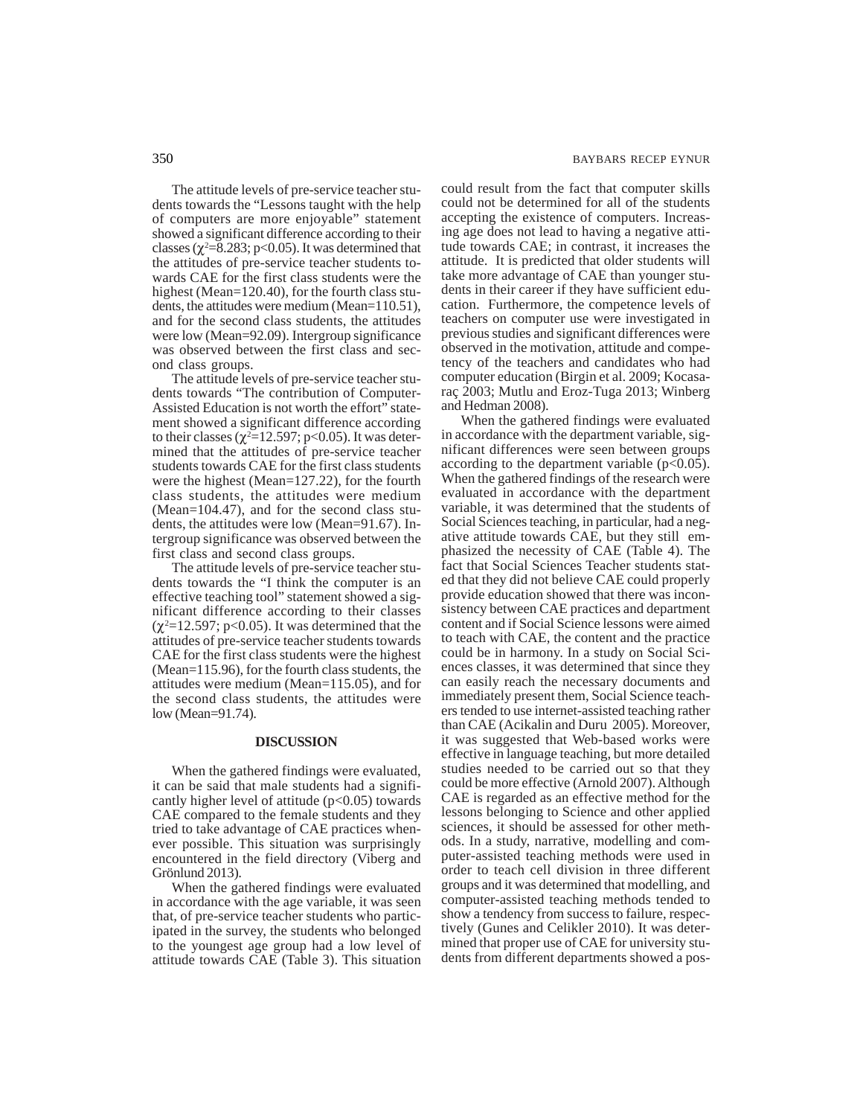The attitude levels of pre-service teacher students towards the "Lessons taught with the help of computers are more enjoyable" statement showed a significant difference according to their classes ( $\chi^2$ =8.283; p<0.05). It was determined that the attitudes of pre-service teacher students towards CAE for the first class students were the highest (Mean=120.40), for the fourth class students, the attitudes were medium (Mean=110.51), and for the second class students, the attitudes were low (Mean=92.09). Intergroup significance was observed between the first class and second class groups.

The attitude levels of pre-service teacher students towards "The contribution of Computer-Assisted Education is not worth the effort" statement showed a significant difference according to their classes  $(\chi^2=12.597; p<0.05)$ . It was determined that the attitudes of pre-service teacher students towards CAE for the first class students were the highest (Mean=127.22), for the fourth class students, the attitudes were medium (Mean=104.47), and for the second class students, the attitudes were low (Mean=91.67). Intergroup significance was observed between the first class and second class groups.

The attitude levels of pre-service teacher students towards the "I think the computer is an effective teaching tool" statement showed a significant difference according to their classes  $(\chi^2=12.597; p<0.05)$ . It was determined that the attitudes of pre-service teacher students towards CAE for the first class students were the highest (Mean=115.96), for the fourth class students, the attitudes were medium (Mean=115.05), and for the second class students, the attitudes were low (Mean=91.74).

#### **DISCUSSION**

When the gathered findings were evaluated, it can be said that male students had a significantly higher level of attitude  $(p<0.05)$  towards CAE compared to the female students and they tried to take advantage of CAE practices whenever possible. This situation was surprisingly encountered in the field directory (Viberg and Grönlund 2013).

When the gathered findings were evaluated in accordance with the age variable, it was seen that, of pre-service teacher students who participated in the survey, the students who belonged to the youngest age group had a low level of attitude towards CAE (Table 3). This situation

could result from the fact that computer skills could not be determined for all of the students accepting the existence of computers. Increasing age does not lead to having a negative attitude towards CAE; in contrast, it increases the attitude. It is predicted that older students will take more advantage of CAE than younger students in their career if they have sufficient education. Furthermore, the competence levels of teachers on computer use were investigated in previous studies and significant differences were observed in the motivation, attitude and competency of the teachers and candidates who had computer education (Birgin et al. 2009; Kocasaraç 2003; Mutlu and Eroz-Tuga 2013; Winberg and Hedman 2008).

When the gathered findings were evaluated in accordance with the department variable, significant differences were seen between groups according to the department variable  $(p<0.05)$ . When the gathered findings of the research were evaluated in accordance with the department variable, it was determined that the students of Social Sciences teaching, in particular, had a negative attitude towards CAE, but they still emphasized the necessity of CAE (Table 4). The fact that Social Sciences Teacher students stated that they did not believe CAE could properly provide education showed that there was inconsistency between CAE practices and department content and if Social Science lessons were aimed to teach with CAE, the content and the practice could be in harmony. In a study on Social Sciences classes, it was determined that since they can easily reach the necessary documents and immediately present them, Social Science teachers tended to use internet-assisted teaching rather than CAE (Acikalin and Duru 2005). Moreover, it was suggested that Web-based works were effective in language teaching, but more detailed studies needed to be carried out so that they could be more effective (Arnold 2007). Although CAE is regarded as an effective method for the lessons belonging to Science and other applied sciences, it should be assessed for other methods. In a study, narrative, modelling and computer-assisted teaching methods were used in order to teach cell division in three different groups and it was determined that modelling, and computer-assisted teaching methods tended to show a tendency from success to failure, respectively (Gunes and Celikler 2010). It was determined that proper use of CAE for university students from different departments showed a pos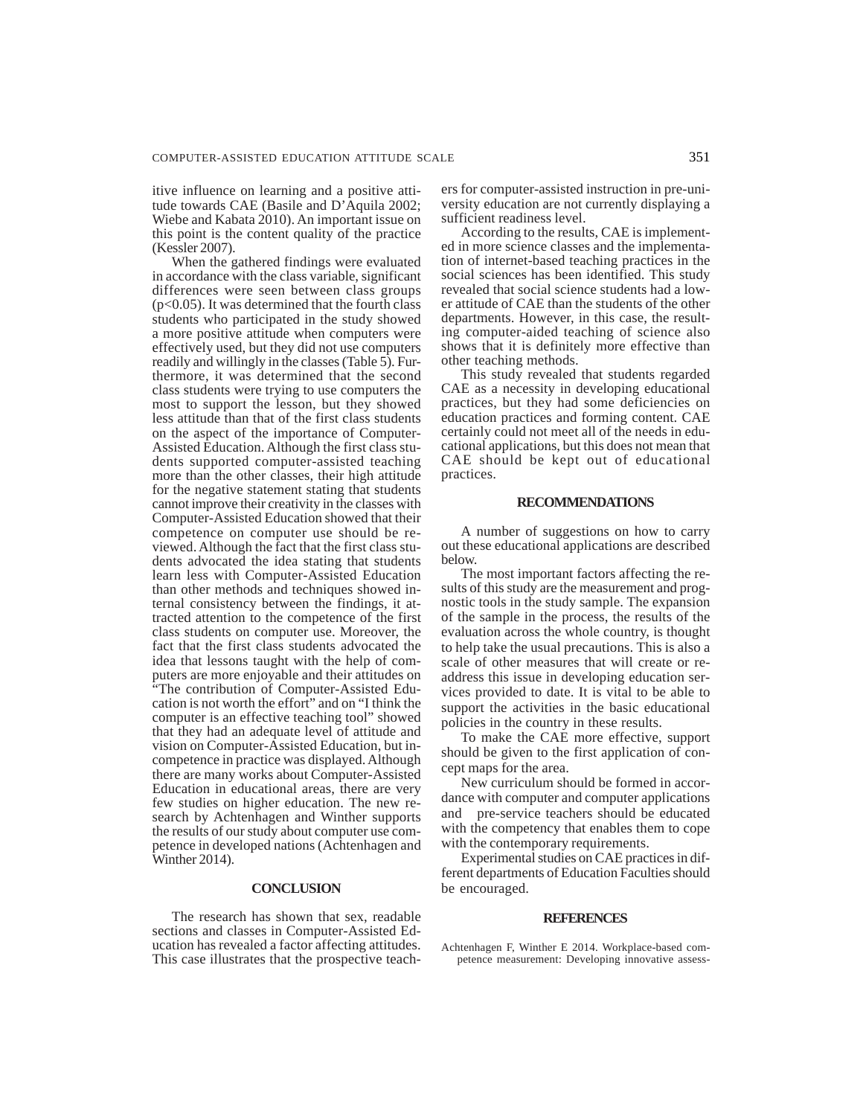itive influence on learning and a positive attitude towards CAE (Basile and D'Aquila 2002; Wiebe and Kabata 2010). An important issue on this point is the content quality of the practice (Kessler 2007).

When the gathered findings were evaluated in accordance with the class variable, significant differences were seen between class groups  $(p<0.05)$ . It was determined that the fourth class students who participated in the study showed a more positive attitude when computers were effectively used, but they did not use computers readily and willingly in the classes (Table 5). Furthermore, it was determined that the second class students were trying to use computers the most to support the lesson, but they showed less attitude than that of the first class students on the aspect of the importance of Computer-Assisted Education. Although the first class students supported computer-assisted teaching more than the other classes, their high attitude for the negative statement stating that students cannot improve their creativity in the classes with Computer-Assisted Education showed that their competence on computer use should be reviewed. Although the fact that the first class students advocated the idea stating that students learn less with Computer-Assisted Education than other methods and techniques showed internal consistency between the findings, it attracted attention to the competence of the first class students on computer use. Moreover, the fact that the first class students advocated the idea that lessons taught with the help of computers are more enjoyable and their attitudes on "The contribution of Computer-Assisted Education is not worth the effort" and on "I think the computer is an effective teaching tool" showed that they had an adequate level of attitude and vision on Computer-Assisted Education, but incompetence in practice was displayed. Although there are many works about Computer-Assisted Education in educational areas, there are very few studies on higher education. The new research by Achtenhagen and Winther supports the results of our study about computer use competence in developed nations (Achtenhagen and Winther 2014).

#### **CONCLUSION**

The research has shown that sex, readable sections and classes in Computer-Assisted Education has revealed a factor affecting attitudes. This case illustrates that the prospective teachers for computer-assisted instruction in pre-university education are not currently displaying a sufficient readiness level.

According to the results, CAE is implemented in more science classes and the implementation of internet-based teaching practices in the social sciences has been identified. This study revealed that social science students had a lower attitude of CAE than the students of the other departments. However, in this case, the resulting computer-aided teaching of science also shows that it is definitely more effective than other teaching methods.

This study revealed that students regarded CAE as a necessity in developing educational practices, but they had some deficiencies on education practices and forming content. CAE certainly could not meet all of the needs in educational applications, but this does not mean that CAE should be kept out of educational practices.

#### **RECOMMENDATIONS**

A number of suggestions on how to carry out these educational applications are described below.

The most important factors affecting the results of this study are the measurement and prognostic tools in the study sample. The expansion of the sample in the process, the results of the evaluation across the whole country, is thought to help take the usual precautions. This is also a scale of other measures that will create or readdress this issue in developing education services provided to date. It is vital to be able to support the activities in the basic educational policies in the country in these results.

To make the CAE more effective, support should be given to the first application of concept maps for the area.

New curriculum should be formed in accordance with computer and computer applications and pre-service teachers should be educated with the competency that enables them to cope with the contemporary requirements.

Experimental studies on CAE practices in different departments of Education Faculties should be encouraged.

#### **REFERENCES**

Achtenhagen F, Winther E 2014. Workplace-based competence measurement: Developing innovative assess